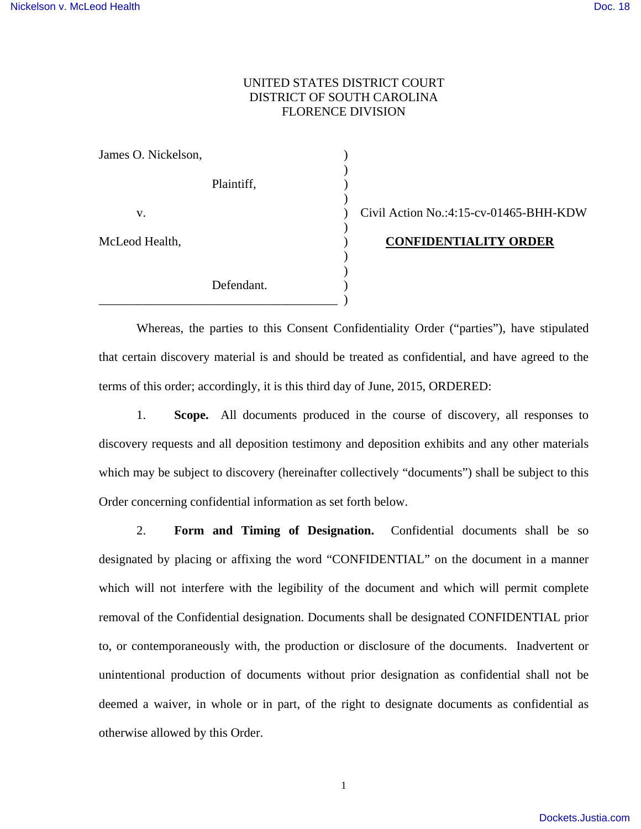### UNITED STATES DISTRICT COURT DISTRICT OF SOUTH CAROLINA FLORENCE DIVISION

| James O. Nickelson, |            |  |
|---------------------|------------|--|
|                     | Plaintiff, |  |
| V.                  |            |  |
| McLeod Health,      |            |  |
|                     | Defendant. |  |
|                     |            |  |

 $Civil$  Action No.:4:15-cv-01465-BHH-KDW

### McLeod Health, ) **CONFIDENTIALITY ORDER**

Whereas, the parties to this Consent Confidentiality Order ("parties"), have stipulated that certain discovery material is and should be treated as confidential, and have agreed to the terms of this order; accordingly, it is this third day of June, 2015, ORDERED:

 1. **Scope.** All documents produced in the course of discovery, all responses to discovery requests and all deposition testimony and deposition exhibits and any other materials which may be subject to discovery (hereinafter collectively "documents") shall be subject to this Order concerning confidential information as set forth below.

 2. **Form and Timing of Designation.** Confidential documents shall be so designated by placing or affixing the word "CONFIDENTIAL" on the document in a manner which will not interfere with the legibility of the document and which will permit complete removal of the Confidential designation. Documents shall be designated CONFIDENTIAL prior to, or contemporaneously with, the production or disclosure of the documents. Inadvertent or unintentional production of documents without prior designation as confidential shall not be deemed a waiver, in whole or in part, of the right to designate documents as confidential as otherwise allowed by this Order.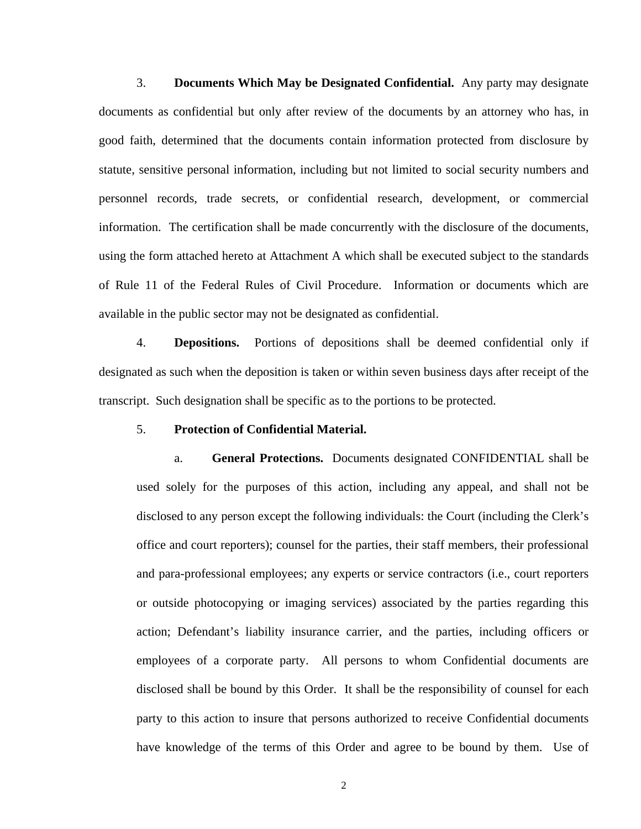3. **Documents Which May be Designated Confidential.** Any party may designate documents as confidential but only after review of the documents by an attorney who has, in good faith, determined that the documents contain information protected from disclosure by statute, sensitive personal information, including but not limited to social security numbers and personnel records, trade secrets, or confidential research, development, or commercial information. The certification shall be made concurrently with the disclosure of the documents, using the form attached hereto at Attachment A which shall be executed subject to the standards of Rule 11 of the Federal Rules of Civil Procedure. Information or documents which are available in the public sector may not be designated as confidential.

 4. **Depositions.** Portions of depositions shall be deemed confidential only if designated as such when the deposition is taken or within seven business days after receipt of the transcript. Such designation shall be specific as to the portions to be protected.

#### 5. **Protection of Confidential Material.**

a. **General Protections.** Documents designated CONFIDENTIAL shall be used solely for the purposes of this action, including any appeal, and shall not be disclosed to any person except the following individuals: the Court (including the Clerk's office and court reporters); counsel for the parties, their staff members, their professional and para-professional employees; any experts or service contractors (i.e., court reporters or outside photocopying or imaging services) associated by the parties regarding this action; Defendant's liability insurance carrier, and the parties, including officers or employees of a corporate party. All persons to whom Confidential documents are disclosed shall be bound by this Order. It shall be the responsibility of counsel for each party to this action to insure that persons authorized to receive Confidential documents have knowledge of the terms of this Order and agree to be bound by them. Use of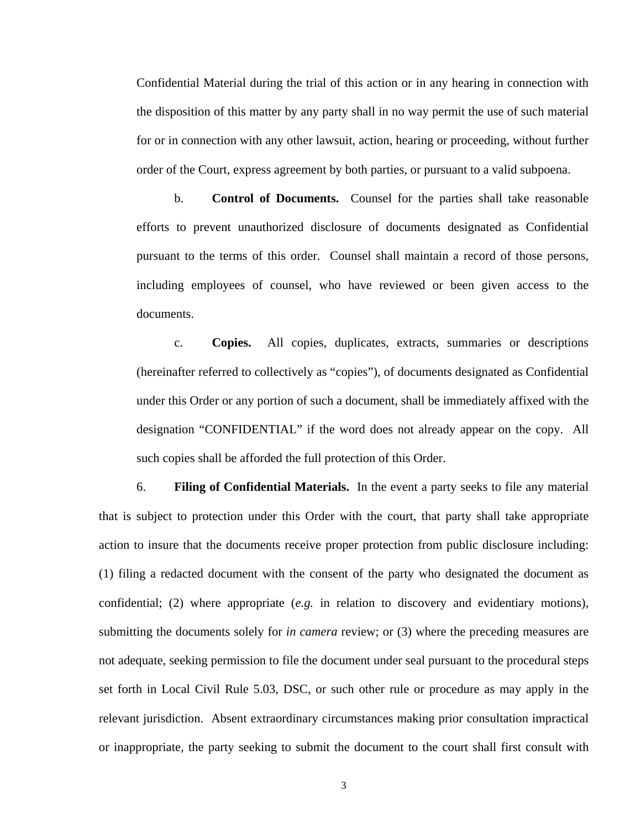Confidential Material during the trial of this action or in any hearing in connection with the disposition of this matter by any party shall in no way permit the use of such material for or in connection with any other lawsuit, action, hearing or proceeding, without further order of the Court, express agreement by both parties, or pursuant to a valid subpoena.

b. **Control of Documents.** Counsel for the parties shall take reasonable efforts to prevent unauthorized disclosure of documents designated as Confidential pursuant to the terms of this order. Counsel shall maintain a record of those persons, including employees of counsel, who have reviewed or been given access to the documents.

c. **Copies.** All copies, duplicates, extracts, summaries or descriptions (hereinafter referred to collectively as "copies"), of documents designated as Confidential under this Order or any portion of such a document, shall be immediately affixed with the designation "CONFIDENTIAL" if the word does not already appear on the copy. All such copies shall be afforded the full protection of this Order.

 6. **Filing of Confidential Materials.**In the event a party seeks to file any material that is subject to protection under this Order with the court, that party shall take appropriate action to insure that the documents receive proper protection from public disclosure including: (1) filing a redacted document with the consent of the party who designated the document as confidential; (2) where appropriate (*e.g.* in relation to discovery and evidentiary motions), submitting the documents solely for *in camera* review; or (3) where the preceding measures are not adequate, seeking permission to file the document under seal pursuant to the procedural steps set forth in Local Civil Rule 5.03, DSC, or such other rule or procedure as may apply in the relevant jurisdiction. Absent extraordinary circumstances making prior consultation impractical or inappropriate, the party seeking to submit the document to the court shall first consult with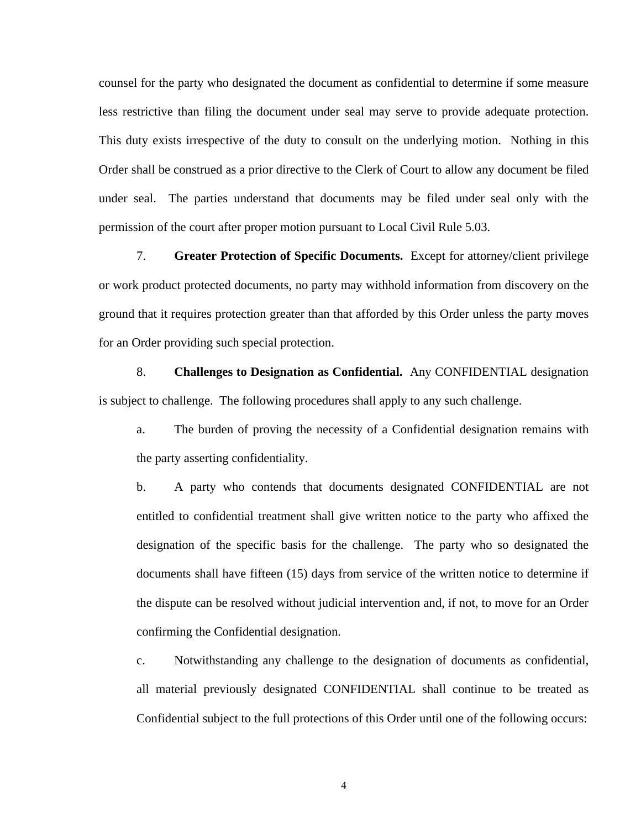counsel for the party who designated the document as confidential to determine if some measure less restrictive than filing the document under seal may serve to provide adequate protection. This duty exists irrespective of the duty to consult on the underlying motion. Nothing in this Order shall be construed as a prior directive to the Clerk of Court to allow any document be filed under seal. The parties understand that documents may be filed under seal only with the permission of the court after proper motion pursuant to Local Civil Rule 5.03.

 7. **Greater Protection of Specific Documents.** Except for attorney/client privilege or work product protected documents, no party may withhold information from discovery on the ground that it requires protection greater than that afforded by this Order unless the party moves for an Order providing such special protection.

 8. **Challenges to Designation as Confidential.** Any CONFIDENTIAL designation is subject to challenge. The following procedures shall apply to any such challenge.

a. The burden of proving the necessity of a Confidential designation remains with the party asserting confidentiality.

b. A party who contends that documents designated CONFIDENTIAL are not entitled to confidential treatment shall give written notice to the party who affixed the designation of the specific basis for the challenge. The party who so designated the documents shall have fifteen (15) days from service of the written notice to determine if the dispute can be resolved without judicial intervention and, if not, to move for an Order confirming the Confidential designation.

c. Notwithstanding any challenge to the designation of documents as confidential, all material previously designated CONFIDENTIAL shall continue to be treated as Confidential subject to the full protections of this Order until one of the following occurs:

4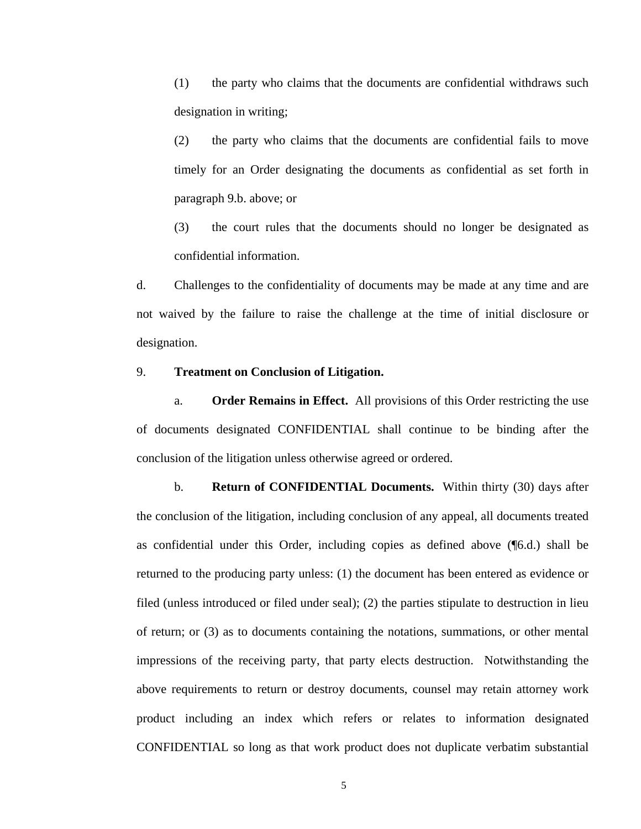(1) the party who claims that the documents are confidential withdraws such designation in writing;

 (2) the party who claims that the documents are confidential fails to move timely for an Order designating the documents as confidential as set forth in paragraph 9.b. above; or

 (3) the court rules that the documents should no longer be designated as confidential information.

d. Challenges to the confidentiality of documents may be made at any time and are not waived by the failure to raise the challenge at the time of initial disclosure or designation.

#### 9. **Treatment on Conclusion of Litigation.**

a. **Order Remains in Effect.** All provisions of this Order restricting the use of documents designated CONFIDENTIAL shall continue to be binding after the conclusion of the litigation unless otherwise agreed or ordered.

b. **Return of CONFIDENTIAL Documents.** Within thirty (30) days after the conclusion of the litigation, including conclusion of any appeal, all documents treated as confidential under this Order, including copies as defined above (¶6.d.) shall be returned to the producing party unless: (1) the document has been entered as evidence or filed (unless introduced or filed under seal); (2) the parties stipulate to destruction in lieu of return; or (3) as to documents containing the notations, summations, or other mental impressions of the receiving party, that party elects destruction.Notwithstanding the above requirements to return or destroy documents, counsel may retain attorney work product including an index which refers or relates to information designated CONFIDENTIAL so long as that work product does not duplicate verbatim substantial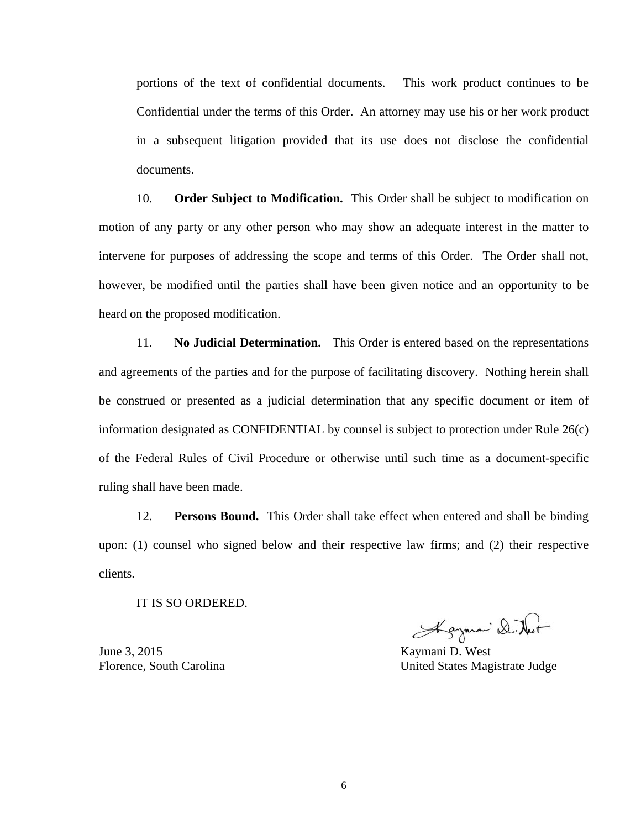portions of the text of confidential documents. This work product continues to be Confidential under the terms of this Order. An attorney may use his or her work product in a subsequent litigation provided that its use does not disclose the confidential documents.

 10. **Order Subject to Modification.** This Order shall be subject to modification on motion of any party or any other person who may show an adequate interest in the matter to intervene for purposes of addressing the scope and terms of this Order. The Order shall not, however, be modified until the parties shall have been given notice and an opportunity to be heard on the proposed modification.

 11. **No Judicial Determination.** This Order is entered based on the representations and agreements of the parties and for the purpose of facilitating discovery. Nothing herein shall be construed or presented as a judicial determination that any specific document or item of information designated as CONFIDENTIAL by counsel is subject to protection under Rule 26(c) of the Federal Rules of Civil Procedure or otherwise until such time as a document-specific ruling shall have been made.

 12. **Persons Bound.** This Order shall take effect when entered and shall be binding upon: (1) counsel who signed below and their respective law firms; and (2) their respective clients.

IT IS SO ORDERED.

June 3, 2015

Alayman D. Nest

Kaymani D. West Florence, South Carolina United States Magistrate Judge